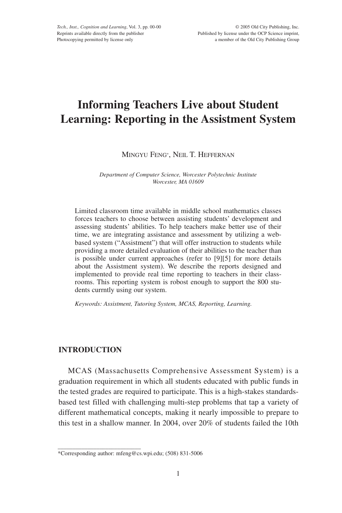# **Informing Teachers Live about Student Learning: Reporting in the Assistment System**

MINGYU FENG\*, NEIL T. HEFFERNAN

*Department of Computer Science, Worcester Polytechnic Institute Worcester, MA 01609*

Limited classroom time available in middle school mathematics classes forces teachers to choose between assisting students' development and assessing students' abilities. To help teachers make better use of their time, we are integrating assistance and assessment by utilizing a webbased system ("Assistment") that will offer instruction to students while providing a more detailed evaluation of their abilities to the teacher than is possible under current approaches (refer to [9][5] for more details about the Assistment system). We describe the reports designed and implemented to provide real time reporting to teachers in their classrooms. This reporting system is robost enough to support the 800 students currntly using our system.

*Keywords: Assistment, Tutoring System, MCAS, Reporting, Learning.*

# **INTRODUCTION**

 $\_$ 

MCAS (Massachusetts Comprehensive Assessment System) is a graduation requirement in which all students educated with public funds in the tested grades are required to participate. This is a high-stakes standardsbased test filled with challenging multi-step problems that tap a variety of different mathematical concepts, making it nearly impossible to prepare to this test in a shallow manner. In 2004, over 20% of students failed the 10th

<sup>\*</sup>Corresponding author: mfeng@cs.wpi.edu; (508) 831-5006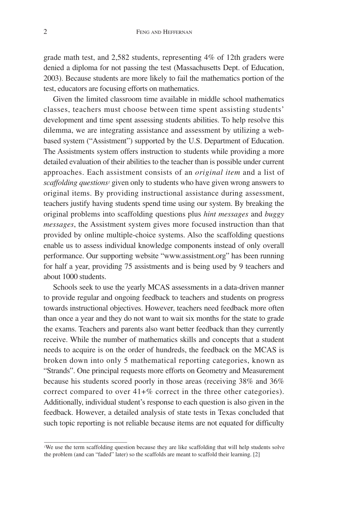grade math test, and 2,582 students, representing 4% of 12th graders were denied a diploma for not passing the test (Massachusetts Dept. of Education, 2003). Because students are more likely to fail the mathematics portion of the test, educators are focusing efforts on mathematics.

Given the limited classroom time available in middle school mathematics classes, teachers must choose between time spent assisting students' development and time spent assessing students abilities. To help resolve this dilemma, we are integrating assistance and assessment by utilizing a webbased system ("Assistment") supported by the U.S. Department of Education. The Assistments system offers instruction to students while providing a more detailed evaluation of their abilities to the teacher than is possible under current approaches. Each assistment consists of an *original item* and a list of *scaffolding questions1* given only to students who have given wrong answers to original items. By providing instructional assistance during assessment, teachers justify having students spend time using our system. By breaking the original problems into scaffolding questions plus *hint messages* and *buggy messages*, the Assistment system gives more focused instruction than that provided by online multiple-choice systems. Also the scaffolding questions enable us to assess individual knowledge components instead of only overall performance. Our supporting website "www.assistment.org" has been running for half a year, providing 75 assistments and is being used by 9 teachers and about 1000 students.

Schools seek to use the yearly MCAS assessments in a data-driven manner to provide regular and ongoing feedback to teachers and students on progress towards instructional objectives. However, teachers need feedback more often than once a year and they do not want to wait six months for the state to grade the exams. Teachers and parents also want better feedback than they currently receive. While the number of mathematics skills and concepts that a student needs to acquire is on the order of hundreds, the feedback on the MCAS is broken down into only 5 mathematical reporting categories, known as "Strands". One principal requests more efforts on Geometry and Measurement because his students scored poorly in those areas (receiving 38% and 36% correct compared to over 41+% correct in the three other categories). Additionally, individual student's response to each question is also given in the feedback. However, a detailed analysis of state tests in Texas concluded that such topic reporting is not reliable because items are not equated for difficulty

\_\_\_\_\_\_\_\_\_\_\_\_\_\_\_\_\_\_\_\_\_\_\_\_\_\_\_\_

<sup>1</sup>We use the term scaffolding question because they are like scaffolding that will help students solve the problem (and can "faded" later) so the scaffolds are meant to scaffold their learning. [2]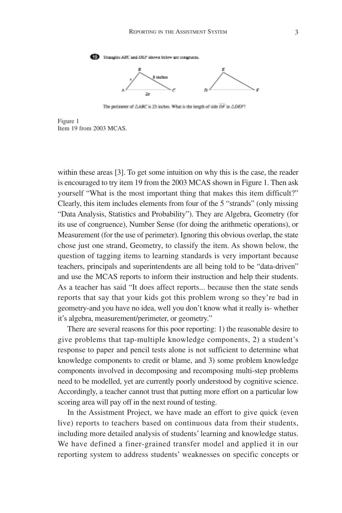

The perimeter of  $\triangle ABC$  is 23 inches. What is the length of side DF in  $\triangle DEF$ ?

Figure 1 Item 19 from 2003 MCAS.

within these areas [3]. To get some intuition on why this is the case, the reader is encouraged to try item 19 from the 2003 MCAS shown in Figure 1. Then ask yourself "What is the most important thing that makes this item difficult?" Clearly, this item includes elements from four of the 5 "strands" (only missing "Data Analysis, Statistics and Probability"). They are Algebra, Geometry (for its use of congruence), Number Sense (for doing the arithmetic operations), or Measurement (for the use of perimeter). Ignoring this obvious overlap, the state chose just one strand, Geometry, to classify the item. As shown below, the question of tagging items to learning standards is very important because teachers, principals and superintendents are all being told to be "data-driven" and use the MCAS reports to inform their instruction and help their students. As a teacher has said "It does affect reports... because then the state sends reports that say that your kids got this problem wrong so they're bad in geometry-and you have no idea, well you don't know what it really is- whether it's algebra, measurement/perimeter, or geometry."

There are several reasons for this poor reporting: 1) the reasonable desire to give problems that tap-multiple knowledge components, 2) a student's response to paper and pencil tests alone is not sufficient to determine what knowledge components to credit or blame, and 3) some problem knowledge components involved in decomposing and recomposing multi-step problems need to be modelled, yet are currently poorly understood by cognitive science. Accordingly, a teacher cannot trust that putting more effort on a particular low scoring area will pay off in the next round of testing.

In the Assistment Project, we have made an effort to give quick (even live) reports to teachers based on continuous data from their students, including more detailed analysis of students' learning and knowledge status. We have defined a finer-grained transfer model and applied it in our reporting system to address students' weaknesses on specific concepts or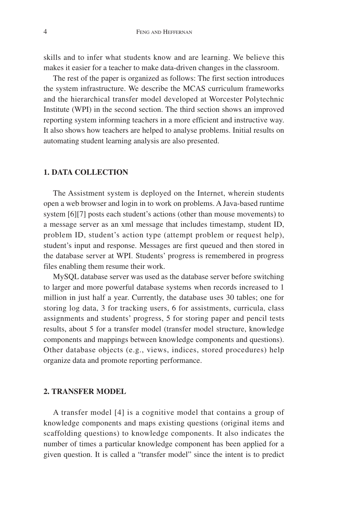skills and to infer what students know and are learning. We believe this makes it easier for a teacher to make data-driven changes in the classroom.

The rest of the paper is organized as follows: The first section introduces the system infrastructure. We describe the MCAS curriculum frameworks and the hierarchical transfer model developed at Worcester Polytechnic Institute (WPI) in the second section. The third section shows an improved reporting system informing teachers in a more efficient and instructive way. It also shows how teachers are helped to analyse problems. Initial results on automating student learning analysis are also presented.

## **1. DATA COLLECTION**

The Assistment system is deployed on the Internet, wherein students open a web browser and login in to work on problems. A Java-based runtime system [6][7] posts each student's actions (other than mouse movements) to a message server as an xml message that includes timestamp, student ID, problem ID, student's action type (attempt problem or request help), student's input and response. Messages are first queued and then stored in the database server at WPI. Students' progress is remembered in progress files enabling them resume their work.

MySQL database server was used as the database server before switching to larger and more powerful database systems when records increased to 1 million in just half a year. Currently, the database uses 30 tables; one for storing log data, 3 for tracking users, 6 for assistments, curricula, class assignments and students' progress, 5 for storing paper and pencil tests results, about 5 for a transfer model (transfer model structure, knowledge components and mappings between knowledge components and questions). Other database objects (e.g., views, indices, stored procedures) help organize data and promote reporting performance.

# **2. TRANSFER MODEL**

A transfer model [4] is a cognitive model that contains a group of knowledge components and maps existing questions (original items and scaffolding questions) to knowledge components. It also indicates the number of times a particular knowledge component has been applied for a given question. It is called a "transfer model" since the intent is to predict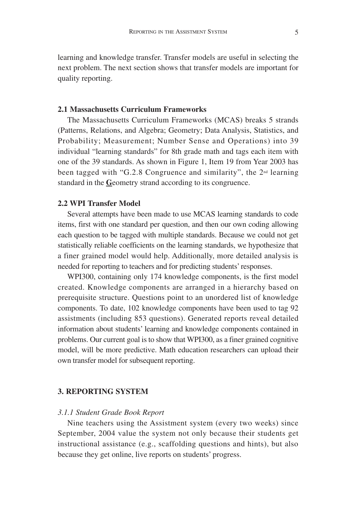learning and knowledge transfer. Transfer models are useful in selecting the next problem. The next section shows that transfer models are important for quality reporting.

# **2.1 Massachusetts Curriculum Frameworks**

The Massachusetts Curriculum Frameworks (MCAS) breaks 5 strands (Patterns, Relations, and Algebra; Geometry; Data Analysis, Statistics, and Probability; Measurement; Number Sense and Operations) into 39 individual "learning standards" for 8th grade math and tags each item with one of the 39 standards. As shown in Figure 1, Item 19 from Year 2003 has been tagged with "G.2.8 Congruence and similarity", the 2nd learning standard in the **G**eometry strand according to its congruence.

## **2.2 WPI Transfer Model**

Several attempts have been made to use MCAS learning standards to code items, first with one standard per question, and then our own coding allowing each question to be tagged with multiple standards. Because we could not get statistically reliable coefficients on the learning standards, we hypothesize that a finer grained model would help. Additionally, more detailed analysis is needed for reporting to teachers and for predicting students' responses.

WPI300, containing only 174 knowledge components, is the first model created. Knowledge components are arranged in a hierarchy based on prerequisite structure. Questions point to an unordered list of knowledge components. To date, 102 knowledge components have been used to tag 92 assistments (including 853 questions). Generated reports reveal detailed information about students' learning and knowledge components contained in problems. Our current goal is to show that WPI300, as a finer grained cognitive model, will be more predictive. Math education researchers can upload their own transfer model for subsequent reporting.

#### **3. REPORTING SYSTEM**

#### *3.1.1 Student Grade Book Report*

Nine teachers using the Assistment system (every two weeks) since September, 2004 value the system not only because their students get instructional assistance (e.g., scaffolding questions and hints), but also because they get online, live reports on students' progress.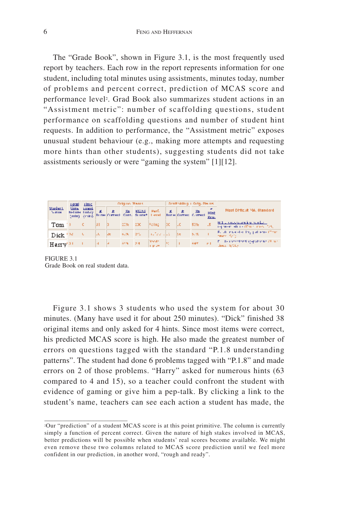The "Grade Book", shown in Figure 3.1, is the most frequently used report by teachers. Each row in the report represents information for one student, including total minutes using assistments, minutes today, number of problems and percent correct, prediction of MCAS score and performance level2. Grad Book also summarizes student actions in an "Assistment metric": number of scaffolding questions, student performance on scaffolding questions and number of student hint requests. In addition to performance, the "Assistment metric" exposes unusual student behaviour (e.g., making more attempts and requesting more hints than other students), suggesting students did not take assistments seriously or were "gaming the system" [1][12].

|                                | <b>LOCAL</b>                 | <b>THUC</b>                    |             |            | Original Hamis |               |     |      | dentholding a Orig. Premis-                  |              |                                                                 |
|--------------------------------|------------------------------|--------------------------------|-------------|------------|----------------|---------------|-----|------|----------------------------------------------|--------------|-----------------------------------------------------------------|
| <b>Student</b><br><b>NETTH</b> | <b>Sims</b><br>helme finding | <b>STARTING</b><br>(min) (min) |             |            |                |               |     |      | $\frac{d}{dx}$ $\frac{d}{dx}$ $\frac{d}{dx}$ | Hint<br>Reu. | Most Difficult MA, Standard                                     |
| Tam                            |                              |                                | $ J  =  3 $ |            | 2008 2001      | <b>Folho</b>  | 12C | -luc | 53%                                          |              | N.1 Elements and in market.<br>represented the China mass Cafe. |
| Dick <sup>174</sup>            |                              |                                |             | <b>Ide</b> | 6190 271 1     | the See State |     | lte. | 5.90                                         |              | Ford, monitor the patients (Thin<br>money (Syll)                |
| Hany'"                         |                              |                                |             |            | 499 24         | Noods         |     |      | <b>LAPT</b>                                  | $-102$       | E. Se userstanding-patterns (E. w.)<br>tines (8710).            |

FIGURE 3.1 Grade Book on real student data.

\_\_\_\_\_\_\_\_\_\_\_\_\_\_\_\_\_\_\_\_\_\_\_\_\_\_\_\_

Figure 3.1 shows 3 students who used the system for about 30 minutes. (Many have used it for about 250 minutes). "Dick" finished 38 original items and only asked for 4 hints. Since most items were correct, his predicted MCAS score is high. He also made the greatest number of errors on questions tagged with the standard "P.1.8 understanding patterns". The student had done 6 problems tagged with "P.1.8" and made errors on 2 of those problems. "Harry" asked for numerous hints (63 compared to 4 and 15), so a teacher could confront the student with evidence of gaming or give him a pep-talk. By clicking a link to the student's name, teachers can see each action a student has made, the

<sup>2</sup>Our "prediction" of a student MCAS score is at this point primitive. The column is currently simply a function of percent correct. Given the nature of high stakes involved in MCAS, better predictions will be possible when students' real scores become available. We might even remove these two columns related to MCAS score prediction until we feel more confident in our prediction, in another word, "rough and ready".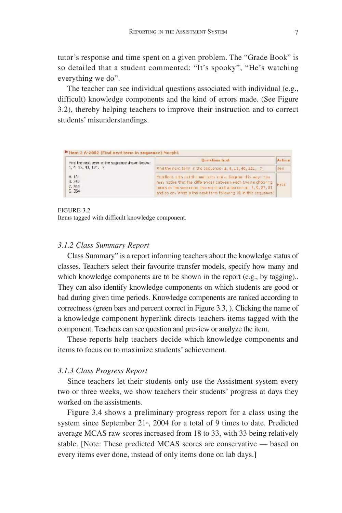tutor's response and time spent on a given problem. The "Grade Book" is so detailed that a student commented: "It's spooky", "He's watching everything we do".

The teacher can see individual questions associated with individual (e.g., difficult) knowledge components and the kind of errors made. (See Figure 3.2), thereby helping teachers to improve their instruction and to correct students' misunderstandings.

| Fire the next term in the sequence shown below: | <b>Durstimm</b> host                                                                                                                                                                                                                                               | <b>Arlinn</b> |
|-------------------------------------------------|--------------------------------------------------------------------------------------------------------------------------------------------------------------------------------------------------------------------------------------------------------------------|---------------|
| 1, 4, 15, 40, 121, 7                            | Find the next term in the sequence: 1, 4, 13, 40, 121, 7                                                                                                                                                                                                           | 364           |
| $A$ 151<br>1.242<br>C.363<br>C.354              | Excellent. Lets just the numbers into a diagram this way: "can<br>may hotice that the cifferences between each two neighboring.<br>terms in the sequence itsolmpatised a sequence 13, 9, 97, 81<br>and so on. What is the next term following 01 in this sequence: |               |

FIGURE 3.2

Items tagged with difficult knowledge component.

# *3.1.2 Class Summary Report*

Class Summary" is a report informing teachers about the knowledge status of classes. Teachers select their favourite transfer models, specify how many and which knowledge components are to be shown in the report (e.g., by tagging)... They can also identify knowledge components on which students are good or bad during given time periods. Knowledge components are ranked according to correctness (green bars and percent correct in Figure 3.3, ). Clicking the name of a knowledge component hyperlink directs teachers items tagged with the component. Teachers can see question and preview or analyze the item.

These reports help teachers decide which knowledge components and items to focus on to maximize students' achievement.

# *3.1.3 Class Progress Report*

Since teachers let their students only use the Assistment system every two or three weeks, we show teachers their students' progress at days they worked on the assistments.

Figure 3.4 shows a preliminary progress report for a class using the system since September 21<sup>st</sup>, 2004 for a total of 9 times to date. Predicted average MCAS raw scores increased from 18 to 33, with 33 being relatively stable. [Note: These predicted MCAS scores are conservative — based on every items ever done, instead of only items done on lab days.]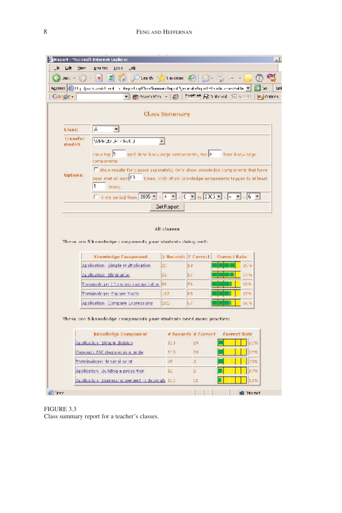| $ -$                                       | $\mathbf{H}$<br>чa                                                                                                                |                            |                                       | Leach Signature 54 (Signature of the                     | ø                |  |  |  |  |  |
|--------------------------------------------|-----------------------------------------------------------------------------------------------------------------------------------|----------------------------|---------------------------------------|----------------------------------------------------------|------------------|--|--|--|--|--|
|                                            | Ageress <mark>(20</mark> 11), <i>that massic</i> lined in the peling/Class°onmarsRepublice and aRepet=thie& accessed & Int. → Soc |                            |                                       |                                                          |                  |  |  |  |  |  |
| Coogle -                                   | - 商StartWoo - @   het th 足 taband 日 abail   kalonites                                                                             |                            |                                       |                                                          |                  |  |  |  |  |  |
|                                            |                                                                                                                                   | <b>Class Summary</b>       |                                       |                                                          |                  |  |  |  |  |  |
| Llass:                                     | ▾<br>A.                                                                                                                           |                            |                                       |                                                          |                  |  |  |  |  |  |
| Transfer<br>WPF000F PR4D<br>$\blacksquare$ |                                                                                                                                   |                            |                                       |                                                          |                  |  |  |  |  |  |
| models                                     |                                                                                                                                   |                            |                                       |                                                          |                  |  |  |  |  |  |
|                                            | show top.<br>well-dene knewledge-components; too 2<br>components                                                                  |                            |                                       | hard knowledge                                           |                  |  |  |  |  |  |
|                                            | Thishow results for classes seperately; Only show knowledge components that have                                                  |                            |                                       |                                                          |                  |  |  |  |  |  |
| <b>Uptions:</b>                            | bean met et aest <sup>1</sup> 1                                                                                                   |                            |                                       | times, Only show knowledge components tagged to at least |                  |  |  |  |  |  |
|                                            | 1<br>imms:                                                                                                                        |                            |                                       |                                                          |                  |  |  |  |  |  |
|                                            | E Time period from 2005 - - 4 - - 4 - 0 - 10 - 2005 - - - - - - 6 - -                                                             |                            |                                       |                                                          |                  |  |  |  |  |  |
|                                            |                                                                                                                                   |                            |                                       |                                                          |                  |  |  |  |  |  |
|                                            |                                                                                                                                   |                            |                                       |                                                          |                  |  |  |  |  |  |
|                                            | These are 5 knowledge components your students doing well:                                                                        | Get Flapor:<br>All classes |                                       |                                                          |                  |  |  |  |  |  |
|                                            |                                                                                                                                   |                            |                                       |                                                          |                  |  |  |  |  |  |
|                                            | <b>Krowledge Component</b>                                                                                                        |                            | 3 Records C Correct<br>1 <sub>1</sub> | COPPHOT Rate                                             | 工业               |  |  |  |  |  |
|                                            | Application Simple multiplication                                                                                                 | 20                         |                                       |                                                          |                  |  |  |  |  |  |
|                                            | Adolication: Elimination.                                                                                                         | 22                         | 17<br>ES.                             |                                                          | Zipine<br>$60 -$ |  |  |  |  |  |
|                                            | Tarminology: ( ) means motipi cation 81                                                                                           |                            |                                       |                                                          | 47.50            |  |  |  |  |  |
|                                            | Terminology: Square Rocts                                                                                                         | 102                        | F3                                    |                                                          |                  |  |  |  |  |  |
|                                            | Application (Compare Expressions)                                                                                                 | nu                         | τž                                    |                                                          | 56 <sub>2</sub>  |  |  |  |  |  |
|                                            | These are 5 knowledge components your students need more practice:                                                                |                            |                                       |                                                          |                  |  |  |  |  |  |
|                                            |                                                                                                                                   |                            |                                       |                                                          |                  |  |  |  |  |  |
|                                            | Knowledge Component                                                                                                               |                            | <b><i>* Records # Correct</i></b>     | Correct Rate                                             |                  |  |  |  |  |  |
|                                            | Acolication, Simule division                                                                                                      | 11J                        | 24                                    |                                                          | 22%              |  |  |  |  |  |
|                                            | Comispo: \$50 degrees in a pride.                                                                                                 | 11 <sub>n</sub>            | 24                                    |                                                          | 2.98             |  |  |  |  |  |
|                                            | Terminology: deemal acint                                                                                                         | 15                         | $\mathbb{R}$                          |                                                          | 1000             |  |  |  |  |  |
|                                            | Application (30 Iding a proportion)                                                                                               | 11                         | 2                                     |                                                          | <b>Page</b>      |  |  |  |  |  |

FIGURE 3.3

Class summary report for a teacher's classes.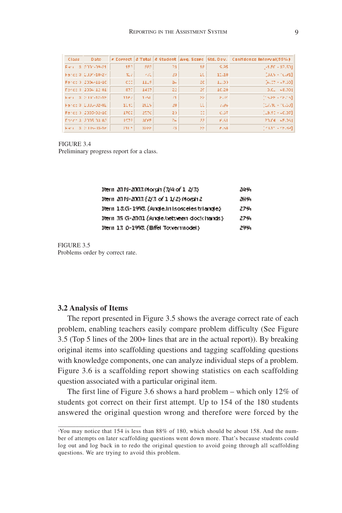| Class: | Date:                 |        |         |     |     |                               | # Correct  # Total  # Student  Avg. Score   Std. Dev.   Confidence Interval(95%) |
|--------|-----------------------|--------|---------|-----|-----|-------------------------------|----------------------------------------------------------------------------------|
|        | Face 8, 2004-09-21    | 157    | 989     | 78  | 18  | 9.95                          | $[4.50 - 87.50]$                                                                 |
|        | Fercial CDP-10-24     | TL 7   | 大阪!     | 20. | ZU. | 11,10                         | $[0.05 - 0.31]$                                                                  |
|        | Ferci ) 2004-11-10    | CIE.   | 11.5    | 24  | EC. | $1 - .33$                     | $[2, 17 + 47.30]$                                                                |
|        | Force 3, 2004 12:01   | stri   | 1437    | 22  | 20  | 10.20                         | $0.01 - 48.001$                                                                  |
|        | Ford 3, 2010/07/218   | 1162   | 1951.   | 71  | 55  | $\mathcal{P}$ , $\mathcal{M}$ | $[15.35 \times 12.05]$                                                           |
|        | Herica 0 (2005-02-02) | 1041   | 2015    | 20  | w   | 7326                          | $[17.10 \times 10.50]$                                                           |
|        | Ferci ) 2003-02-10    | 1702   | 2570    | 20  | 22  | 0.37                          | $[19.91 - 40.07]$                                                                |
|        | Through 2005/03/02    | 1972.  | 30 F.F. | Dal | 33  | <b>F.51</b>                   | 20.04 (45.061)                                                                   |
|        | Form 3, 2016-18-16.   | 211.51 | 3288.   | 73. | 22. | 6.58                          | $[74.11 + 48.84]$                                                                |

FIGURE 3.4

Preliminary progress report for a class.

| 16em 2019-2003 Morgin (3/4 of 1, 2/3)        | 24 M |
|----------------------------------------------|------|
| Item 2019-2003 (2/3 of 1 1/2) Morgin 2       | zaw, |
| Item 18.G-1993 (Angle In Isosceles triangle) | 27%  |
| Item 35 G-2001 (Angle between dock hands).   | 27%  |
| Item 13 0-1993 (Bifel Towermodel)            | 29%. |

FIGURE 3.5 Problems order by correct rate.

#### **3.2 Analysis of Items**

 $\_$ 

The report presented in Figure 3.5 shows the average correct rate of each problem, enabling teachers easily compare problem difficulty (See Figure 3.5 (Top 5 lines of the 200+ lines that are in the actual report)). By breaking original items into scaffolding questions and tagging scaffolding questions with knowledge components, one can analyze individual steps of a problem. Figure 3.6 is a scaffolding report showing statistics on each scaffolding question associated with a particular original item.

The first line of Figure 3.6 shows a hard problem – which only 12% of students got correct on their first attempt. Up to 154 of the 180 students answered the original question wrong and therefore were forced by the

<sup>3</sup>You may notice that 154 is less than 88% of 180, which should be about 158. And the number of attempts on later scaffolding questions went down more. That's because students could log out and log back in to redo the original question to avoid going through all scaffolding questions. We are trying to avoid this problem.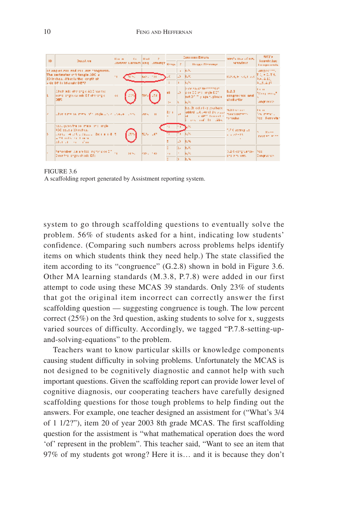|    |                                                                                                                                              | <b>Early</b> | <b>SIL</b>                     | $  $ H at        | $\mathbf{r}$ |                       |       | <b>Commendators</b>                                                                                               | with the of the                           | <b>NES's</b>                                           |
|----|----------------------------------------------------------------------------------------------------------------------------------------------|--------------|--------------------------------|------------------|--------------|-----------------------|-------|-------------------------------------------------------------------------------------------------------------------|-------------------------------------------|--------------------------------------------------------|
|    | ID.<br>Duristion.                                                                                                                            |              | inster Liman Red. Joanne Resu- |                  |              |                       |       | Height Floorings                                                                                                  | searcher r                                | <b>Financie Juez</b><br><b>Longonials</b>              |
|    | IT AREAS AIR and the area incontant.<br>The antimater of triangle ADC is<br>20 Inches, What Is the length of<br>- de DP 11 Irlande DEF2      |              |                                | <b>Reduction</b> |              |                       |       | $\mathbf{r} = [\mathbf{r}, \mathbf{0}]$ .<br><b>EXC</b><br>ЪW.                                                    | 1023-4, H. R. C. L. 200                   | weeper that<br>作文 もこぼれ<br><b>AALA J2.</b><br>912514.37 |
|    | Abich add obtriongle A2.0 has the<br>semblionges callsde DT offering c<br>ber.                                                               |              |                                |                  |              | ab.<br>$\mathbb{R}^n$ |       | be de l'ancor mechanics in<br>loke DD and lingle DDT<br>inot DT Tily again, please<br>Koto.                       | 6.2.3<br>congrector and<br>al influence.  | li i in<br>have and the<br>2000/1999                   |
|    | abon sime year metal of thorocle and will covered a stream                                                                                   |              |                                | lars in          |              | 22.11                 | المدا | he. Developing you have<br>added to June 11, 1979 and make performance<br>a dett fragget i<br>and and the cities. | NOTIFICATION.<br>homes in                 | $1 - 11$<br>Teachers's<br>You Fanyabr                  |
|    | concentration made one inclu-<br>950 eeugu 20 miheu.<br>Louisian and European Democratic<br>Let's a reflect that the se-<br>laber en som dan |              |                                | 516-107          |              | π                     | LS.   | 3,74<br>155                                                                                                       | TURK adming Lo.<br>2.1222211              | $5 - 30 + 1$<br><b>TAXERS A</b>                        |
| ь. | Pamenber, we are looking for disk DT 1,1<br>Dyson the length of cide ET:                                                                     |              | 51%.                           | ksell, has       |              | $\sim 10$             | las.  | <b>IEW</b><br>Koto.<br>低劣                                                                                         | SL2 Grootgreaters (Pop)<br>and a milkeep. | Donorus vos                                            |

#### FIGURE 3.6

A scaffolding report generated by Assistment reporting system.

system to go through scaffolding questions to eventually solve the problem. 56% of students asked for a hint, indicating low students' confidence. (Comparing such numbers across problems helps identify items on which students think they need help.) The state classified the item according to its "congruence" (G.2.8) shown in bold in Figure 3.6. Other MA learning standards (M.3.8, P.7.8) were added in our first attempt to code using these MCAS 39 standards. Only 23% of students that got the original item incorrect can correctly answer the first scaffolding question — suggesting congruence is tough. The low percent correct (25%) on the 3rd question, asking students to solve for x, suggests varied sources of difficulty. Accordingly, we tagged "P.7.8-setting-upand-solving-equations" to the problem.

Teachers want to know particular skills or knowledge components causing student difficulty in solving problems. Unfortunately the MCAS is not designed to be cognitively diagnostic and cannot help with such important questions. Given the scaffolding report can provide lower level of cognitive diagnosis, our cooperating teachers have carefully designed scaffolding questions for those tough problems to help finding out the answers. For example, one teacher designed an assistment for ("What's 3/4 of 1 1/2?"), item 20 of year 2003 8th grade MCAS. The first scaffolding question for the assistment is "what mathematical operation does the word 'of' represent in the problem". This teacher said, "Want to see an item that 97% of my students got wrong? Here it is… and it is because they don't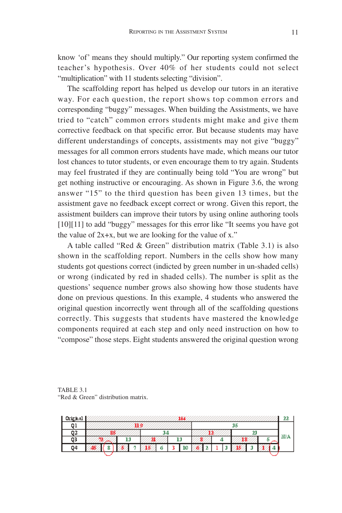know 'of' means they should multiply." Our reporting system confirmed the teacher's hypothesis. Over 40% of her students could not select "multiplication" with 11 students selecting "division".

The scaffolding report has helped us develop our tutors in an iterative way. For each question, the report shows top common errors and corresponding "buggy" messages. When building the Assistments, we have tried to "catch" common errors students might make and give them corrective feedback on that specific error. But because students may have different understandings of concepts, assistments may not give "buggy" messages for all common errors students have made, which means our tutor lost chances to tutor students, or even encourage them to try again. Students may feel frustrated if they are continually being told "You are wrong" but get nothing instructive or encouraging. As shown in Figure 3.6, the wrong answer "15" to the third question has been given 13 times, but the assistment gave no feedback except correct or wrong. Given this report, the assistment builders can improve their tutors by using online authoring tools [10][11] to add "buggy" messages for this error like "It seems you have got the value of  $2x+x$ , but we are looking for the value of x."

A table called "Red & Green" distribution matrix (Table 3.1) is also shown in the scaffolding report. Numbers in the cells show how many students got questions correct (indicted by green number in un-shaded cells) or wrong (indicated by red in shaded cells). The number is split as the questions' sequence number grows also showing how those students have done on previous questions. In this example, 4 students who answered the original question incorrectly went through all of the scaffolding questions correctly. This suggests that students have mastered the knowledge components required at each step and only need instruction on how to "compose" those steps. Eight students answered the original question wrong

TABLE 3.1 "Red & Green" distribution matrix.

| 01 |  | us |   |    |  | 35 |  |  |  |  |  |     |  |
|----|--|----|---|----|--|----|--|--|--|--|--|-----|--|
| 02 |  |    |   |    |  |    |  |  |  |  |  |     |  |
| Q3 |  | 13 |   | 13 |  |    |  |  |  |  |  | m n |  |
| 04 |  |    | œ |    |  |    |  |  |  |  |  |     |  |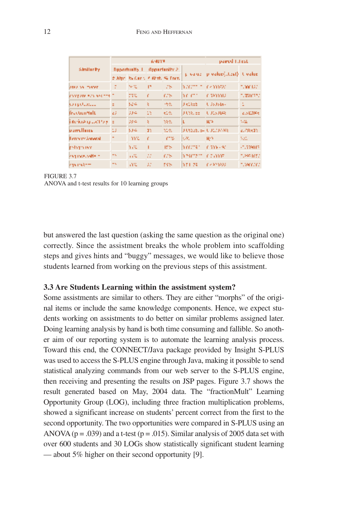|                         |      |                      | <b>GNUYE</b>                        | partyl Litest |                         |                           |            |  |
|-------------------------|------|----------------------|-------------------------------------|---------------|-------------------------|---------------------------|------------|--|
| Similarity              |      | <b>Departments 1</b> |                                     | Opportunity 2 |                         |                           |            |  |
|                         |      |                      | district by Carlo A. Mint. Ne Franc |               | private a               | p wakin(i.t.cal) - Uwakin |            |  |
| <b>DIVERSITY TOMPT</b>  | σ    | 秘处                   | P                                   | 28            | haratt                  | n me                      | 1. YOMU 22 |  |
| kampute aya arkinta     |      | 77%                  | r                                   | 678           | h cicht                 | r tennis                  | uzante d   |  |
| ka ng Olemala           |      | 524                  | k                                   | 地点            | U elkab                 | U.S.S. Box                |            |  |
| Year Gran Holt          | κž   | 334                  | w                                   | 61.02         | U Chaude                | U JESURA                  | 2.5 LDF 6  |  |
| i wikia guzettaa        |      | 384                  | k                                   | 18.62         | ι                       | <b>H</b> <sub>2</sub>     | MA.        |  |
| <b>Durn Hares</b>       | ω    | あまぬ                  | an                                  | 51.02         | U USSES, SANU USADA 200 |                           | 2.78311    |  |
| <b>Executive Annual</b> |      | ma                   | f.                                  | ms.           | NW.                     | RO.                       | VA.        |  |
| <b>Instruments</b>      |      | n c                  | п                                   | IF'S          | h rectar                | 1,500-592                 | -1,779017  |  |
| kan maso altern         | m ng | пX                   | $\cdots$<br>$\cdots$                | 678           | history to              | r timm                    | tures intu |  |
| kas niskom              | m ng | WС                   | Ш                                   | 54%           | 531.29                  | 69,920,920                | tuwa na n  |  |

#### FIGURE 3.7 ANOVA and t-test results for 10 learning groups

but answered the last question (asking the same question as the original one) correctly. Since the assistment breaks the whole problem into scaffolding steps and gives hints and "buggy" messages, we would like to believe those students learned from working on the previous steps of this assistment.

#### **3.3 Are Students Learning within the assistment system?**

Some assistments are similar to others. They are either "morphs" of the original items or include the same knowledge components. Hence, we expect students working on assistments to do better on similar problems assigned later. Doing learning analysis by hand is both time consuming and fallible. So another aim of our reporting system is to automate the learning analysis process. Toward this end, the CONNECT/Java package provided by Insight S-PLUS was used to access the S-PLUS engine through Java, making it possible to send statistical analyzing commands from our web server to the S-PLUS engine, then receiving and presenting the results on JSP pages. Figure 3.7 shows the result generated based on May, 2004 data. The "fractionMult" Learning Opportunity Group (LOG), including three fraction multiplication problems, showed a significant increase on students' percent correct from the first to the second opportunity. The two opportunities were compared in S-PLUS using an ANOVA ( $p = .039$ ) and a t-test ( $p = .015$ ). Similar analysis of 2005 data set with over 600 students and 30 LOGs show statistically significant student learning — about 5% higher on their second opportunity [9].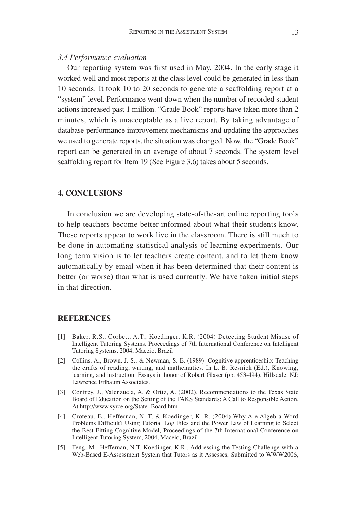# *3.4 Performance evaluation*

Our reporting system was first used in May, 2004. In the early stage it worked well and most reports at the class level could be generated in less than 10 seconds. It took 10 to 20 seconds to generate a scaffolding report at a "system" level. Performance went down when the number of recorded student actions increased past 1 million. "Grade Book" reports have taken more than 2 minutes, which is unacceptable as a live report. By taking advantage of database performance improvement mechanisms and updating the approaches we used to generate reports, the situation was changed. Now, the "Grade Book" report can be generated in an average of about 7 seconds. The system level scaffolding report for Item 19 (See Figure 3.6) takes about 5 seconds.

## **4. CONCLUSIONS**

In conclusion we are developing state-of-the-art online reporting tools to help teachers become better informed about what their students know. These reports appear to work live in the classroom. There is still much to be done in automating statistical analysis of learning experiments. Our long term vision is to let teachers create content, and to let them know automatically by email when it has been determined that their content is better (or worse) than what is used currently. We have taken initial steps in that direction.

#### **REFERENCES**

- [1] Baker, R.S., Corbett, A.T., Koedinger, K.R. (2004) Detecting Student Misuse of Intelligent Tutoring Systems. Proceedings of 7th International Conference on Intelligent Tutoring Systems, 2004, Maceio, Brazil
- [2] Collins, A., Brown, J. S., & Newman, S. E. (1989). Cognitive apprenticeship: Teaching the crafts of reading, writing, and mathematics. In L. B. Resnick (Ed.), Knowing, learning, and instruction: Essays in honor of Robert Glaser (pp. 453-494). Hillsdale, NJ: Lawrence Erlbaum Associates.
- [3] Confrey, J., Valenzuela, A. & Ortiz, A. (2002). Recommendations to the Texas State Board of Education on the Setting of the TAKS Standards: A Call to Responsible Action. At http://www.syrce.org/State\_Board.htm
- [4] Croteau, E., Heffernan, N. T. & Koedinger, K. R. (2004) Why Are Algebra Word Problems Difficult? Using Tutorial Log Files and the Power Law of Learning to Select the Best Fitting Cognitive Model, Proceedings of the 7th International Conference on Intelligent Tutoring System, 2004, Maceio, Brazil
- [5] Feng, M., Heffernan, N.T, Koedinger, K.R., Addressing the Testing Challenge with a Web-Based E-Assessment System that Tutors as it Assesses, Submitted to WWW2006,